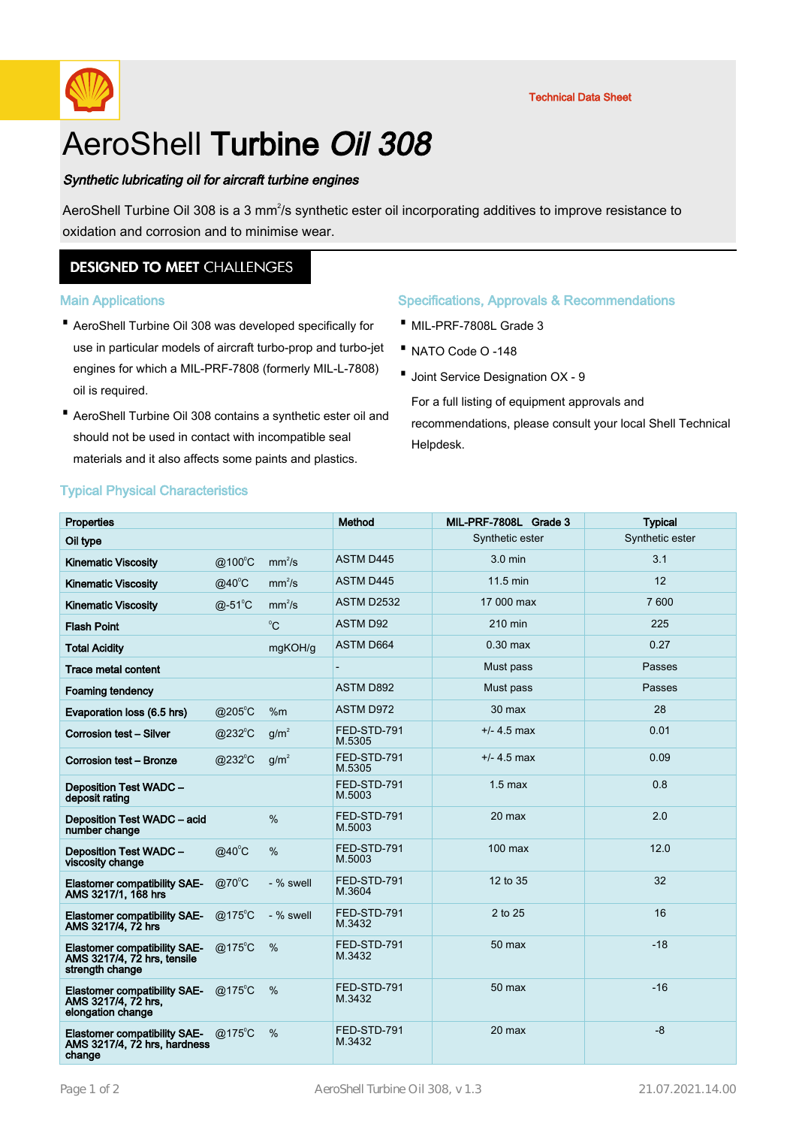

# AeroShell Turbine Oil 308

## Synthetic lubricating oil for aircraft turbine engines

AeroShell Turbine Oil 308 is a 3 mm<sup>2</sup>/s synthetic ester oil incorporating additives to improve resistance to oxidation and corrosion and to minimise wear.

# **DESIGNED TO MEET CHALLENGES**

## Main Applications

- AeroShell Turbine Oil 308 was developed specifically for · use in particular models of aircraft turbo-prop and turbo-jet engines for which a MIL-PRF-7808 (formerly MIL-L-7808) oil is required.
- AeroShell Turbine Oil 308 contains a synthetic ester oil and should not be used in contact with incompatible seal materials and it also affects some paints and plastics.

# Specifications, Approvals & Recommendations

- · MIL-PRF-7808L Grade 3
- · NATO Code O -148
- · Joint Service Designation OX 9

For a full listing of equipment approvals and recommendations, please consult your local Shell Technical Helpdesk.

# Typical Physical Characteristics

| <b>Properties</b>                                                                     |                   |                    | Method                | MIL-PRF-7808L Grade 3 | <b>Typical</b>  |
|---------------------------------------------------------------------------------------|-------------------|--------------------|-----------------------|-----------------------|-----------------|
| Oil type                                                                              |                   |                    |                       | Synthetic ester       | Synthetic ester |
| <b>Kinematic Viscosity</b>                                                            | @100°C            | mm <sup>2</sup> /s | ASTM D445             | $3.0$ min             | 3.1             |
| <b>Kinematic Viscosity</b>                                                            | $@40^{\circ}$ C   | mm <sup>2</sup> /s | <b>ASTM D445</b>      | 11.5 min              | 12              |
| <b>Kinematic Viscosity</b>                                                            | $@-51^{\circ}C$   | mm <sup>2</sup> /s | <b>ASTM D2532</b>     | 17 000 max            | 7 600           |
| <b>Flash Point</b>                                                                    |                   | $^0C$              | <b>ASTM D92</b>       | 210 min               | 225             |
| <b>Total Acidity</b>                                                                  |                   | mgKOH/g            | ASTM D664             | $0.30$ max            | 0.27            |
| <b>Trace metal content</b>                                                            |                   |                    |                       | Must pass             | Passes          |
| <b>Foaming tendency</b>                                                               |                   |                    | <b>ASTM D892</b>      | Must pass             | Passes          |
| Evaporation loss (6.5 hrs)                                                            | @205 $^{\circ}$ C | %m                 | <b>ASTM D972</b>      | $30$ max              | 28              |
| Corrosion test - Silver                                                               | $@232^{\circ}C$   | $q/m^2$            | FED-STD-791<br>M.5305 | $+/- 4.5$ max         | 0.01            |
| Corrosion test - Bronze                                                               | $@232^{\circ}$ C  | g/m <sup>2</sup>   | FED-STD-791<br>M.5305 | $+/- 4.5$ max         | 0.09            |
| <b>Deposition Test WADC -</b><br>deposit rating                                       |                   |                    | FED-STD-791<br>M.5003 | $1.5$ max             | 0.8             |
| Deposition Test WADC - acid<br>number change                                          |                   | %                  | FED-STD-791<br>M.5003 | 20 max                | 2.0             |
| <b>Deposition Test WADC -</b><br>viscosity change                                     | $@40^{\circ}$ C   | %                  | FED-STD-791<br>M.5003 | $100$ max             | 12.0            |
| <b>Elastomer compatibility SAE-</b><br>AMS 3217/1, 168 hrs                            | $@70^{\circ}$ C   | - % swell          | FED-STD-791<br>M.3604 | 12 to 35              | 32              |
| <b>Elastomer compatibility SAE-</b><br>AMS 3217/4, 72 hrs                             | $@175^{\circ}$ C  | - % swell          | FED-STD-791<br>M.3432 | 2 to 25               | 16              |
| <b>Elastomer compatibility SAE-</b><br>AMS 3217/4, 72 hrs, tensile<br>strength change | $@175^{\circ}$ C  | $\%$               | FED-STD-791<br>M.3432 | 50 max                | $-18$           |
| <b>Elastomer compatibility SAE-</b><br>AMS 3217/4, 72 hrs.<br>elongation change       | $@175^{\circ}$ C  | $\%$               | FED-STD-791<br>M.3432 | $50$ max              | $-16$           |
| <b>Elastomer compatibility SAE-</b><br>AMS 3217/4, 72 hrs, hardness<br>change         | $@175^{\circ}$ C  | $\%$               | FED-STD-791<br>M.3432 | 20 max                | $-8$            |